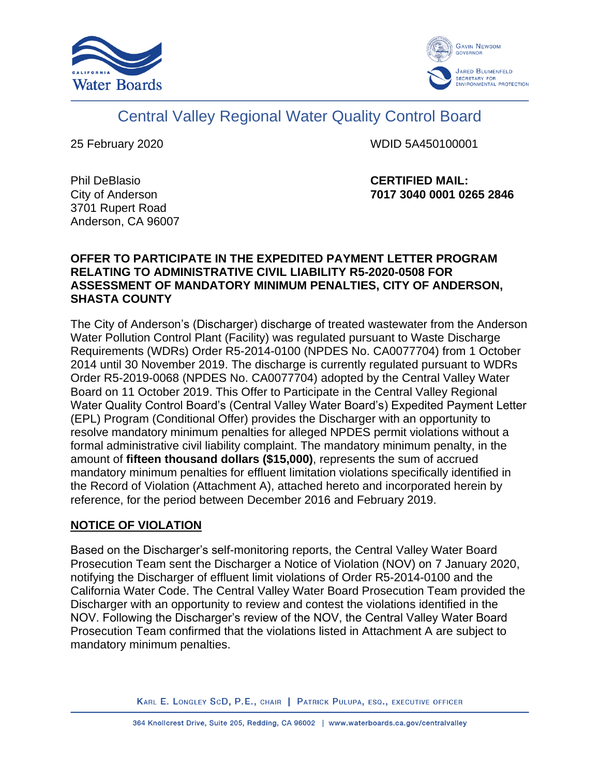



# Central Valley Regional Water Quality Control Board

25 February 2020 WDID 5A450100001

Phil DeBlasio City of Anderson 3701 Rupert Road Anderson, CA 96007 **CERTIFIED MAIL: 7017 3040 0001 0265 2846** 

#### **OFFER TO PARTICIPATE IN THE EXPEDITED PAYMENT LETTER PROGRAM RELATING TO ADMINISTRATIVE CIVIL LIABILITY R5-2020-0508 FOR ASSESSMENT OF MANDATORY MINIMUM PENALTIES, CITY OF ANDERSON, SHASTA COUNTY**

The City of Anderson's (Discharger) discharge of treated wastewater from the Anderson Water Pollution Control Plant (Facility) was regulated pursuant to Waste Discharge Requirements (WDRs) Order R5-2014-0100 (NPDES No. CA0077704) from 1 October 2014 until 30 November 2019. The discharge is currently regulated pursuant to WDRs Order R5-2019-0068 (NPDES No. CA0077704) adopted by the Central Valley Water Board on 11 October 2019. This Offer to Participate in the Central Valley Regional Water Quality Control Board's (Central Valley Water Board's) Expedited Payment Letter (EPL) Program (Conditional Offer) provides the Discharger with an opportunity to resolve mandatory minimum penalties for alleged NPDES permit violations without a formal administrative civil liability complaint. The mandatory minimum penalty, in the amount of **fifteen thousand dollars (\$15,000)**, represents the sum of accrued mandatory minimum penalties for effluent limitation violations specifically identified in the Record of Violation (Attachment A), attached hereto and incorporated herein by reference, for the period between December 2016 and February 2019.

## **NOTICE OF VIOLATION**

Based on the Discharger's self-monitoring reports, the Central Valley Water Board Prosecution Team sent the Discharger a Notice of Violation (NOV) on 7 January 2020, notifying the Discharger of effluent limit violations of Order R5-2014-0100 and the California Water Code. The Central Valley Water Board Prosecution Team provided the Discharger with an opportunity to review and contest the violations identified in the NOV. Following the Discharger's review of the NOV, the Central Valley Water Board Prosecution Team confirmed that the violations listed in Attachment A are subject to mandatory minimum penalties.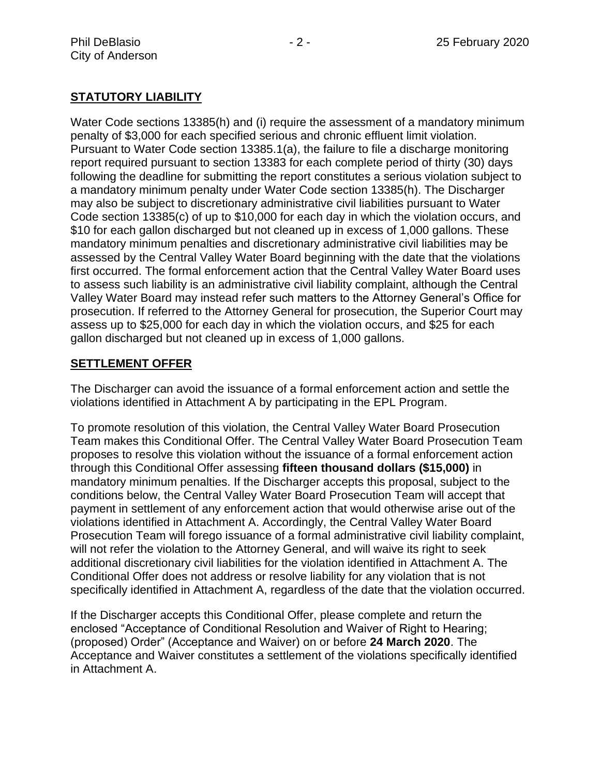## **STATUTORY LIABILITY**

Water Code sections 13385(h) and (i) require the assessment of a mandatory minimum penalty of \$3,000 for each specified serious and chronic effluent limit violation. Pursuant to Water Code section 13385.1(a), the failure to file a discharge monitoring report required pursuant to section 13383 for each complete period of thirty (30) days following the deadline for submitting the report constitutes a serious violation subject to a mandatory minimum penalty under Water Code section 13385(h). The Discharger may also be subject to discretionary administrative civil liabilities pursuant to Water Code section 13385(c) of up to \$10,000 for each day in which the violation occurs, and \$10 for each gallon discharged but not cleaned up in excess of 1,000 gallons. These mandatory minimum penalties and discretionary administrative civil liabilities may be assessed by the Central Valley Water Board beginning with the date that the violations first occurred. The formal enforcement action that the Central Valley Water Board uses to assess such liability is an administrative civil liability complaint, although the Central Valley Water Board may instead refer such matters to the Attorney General's Office for prosecution. If referred to the Attorney General for prosecution, the Superior Court may assess up to \$25,000 for each day in which the violation occurs, and \$25 for each gallon discharged but not cleaned up in excess of 1,000 gallons.

#### **SETTLEMENT OFFER**

The Discharger can avoid the issuance of a formal enforcement action and settle the violations identified in Attachment A by participating in the EPL Program.

To promote resolution of this violation, the Central Valley Water Board Prosecution Team makes this Conditional Offer. The Central Valley Water Board Prosecution Team proposes to resolve this violation without the issuance of a formal enforcement action through this Conditional Offer assessing **fifteen thousand dollars (\$15,000)** in mandatory minimum penalties. If the Discharger accepts this proposal, subject to the conditions below, the Central Valley Water Board Prosecution Team will accept that payment in settlement of any enforcement action that would otherwise arise out of the violations identified in Attachment A. Accordingly, the Central Valley Water Board Prosecution Team will forego issuance of a formal administrative civil liability complaint, will not refer the violation to the Attorney General, and will waive its right to seek additional discretionary civil liabilities for the violation identified in Attachment A. The Conditional Offer does not address or resolve liability for any violation that is not specifically identified in Attachment A, regardless of the date that the violation occurred.

If the Discharger accepts this Conditional Offer, please complete and return the enclosed "Acceptance of Conditional Resolution and Waiver of Right to Hearing; (proposed) Order" (Acceptance and Waiver) on or before **24 March 2020**. The Acceptance and Waiver constitutes a settlement of the violations specifically identified in Attachment A.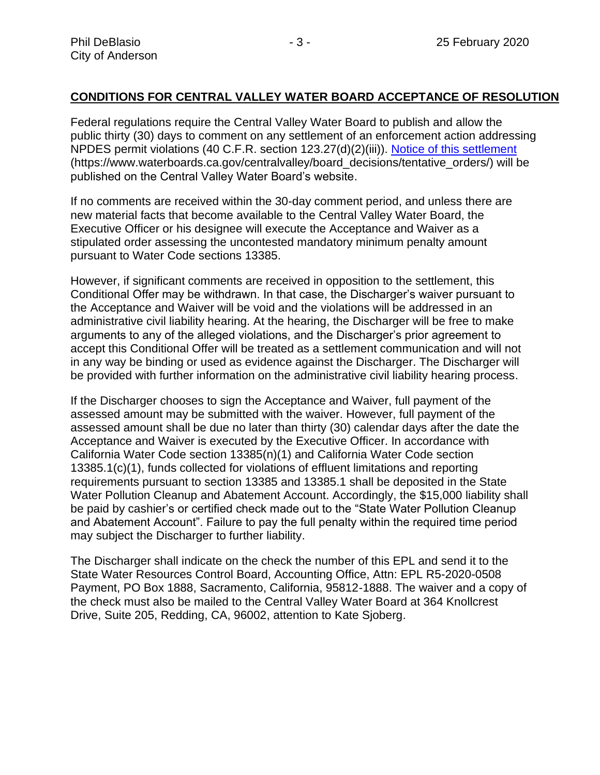#### **CONDITIONS FOR CENTRAL VALLEY WATER BOARD ACCEPTANCE OF RESOLUTION**

Federal regulations require the Central Valley Water Board to publish and allow the public thirty (30) days to comment on any settlement of an enforcement action addressing NPDES permit violations (40 C.F.R. section 123.27(d)(2)(iii)). [Notice of this settlement](https://www.waterboards.ca.gov/centralvalley/board_decisions/tentative_orders/) (https://www.waterboards.ca.gov/centralvalley/board\_decisions/tentative\_orders/) will be published on the Central Valley Water Board's website.

If no comments are received within the 30-day comment period, and unless there are new material facts that become available to the Central Valley Water Board, the Executive Officer or his designee will execute the Acceptance and Waiver as a stipulated order assessing the uncontested mandatory minimum penalty amount pursuant to Water Code sections 13385.

However, if significant comments are received in opposition to the settlement, this Conditional Offer may be withdrawn. In that case, the Discharger's waiver pursuant to the Acceptance and Waiver will be void and the violations will be addressed in an administrative civil liability hearing. At the hearing, the Discharger will be free to make arguments to any of the alleged violations, and the Discharger's prior agreement to accept this Conditional Offer will be treated as a settlement communication and will not in any way be binding or used as evidence against the Discharger. The Discharger will be provided with further information on the administrative civil liability hearing process.

If the Discharger chooses to sign the Acceptance and Waiver, full payment of the assessed amount may be submitted with the waiver. However, full payment of the assessed amount shall be due no later than thirty (30) calendar days after the date the Acceptance and Waiver is executed by the Executive Officer. In accordance with California Water Code section 13385(n)(1) and California Water Code section 13385.1(c)(1), funds collected for violations of effluent limitations and reporting requirements pursuant to section 13385 and 13385.1 shall be deposited in the State Water Pollution Cleanup and Abatement Account. Accordingly, the \$15,000 liability shall be paid by cashier's or certified check made out to the "State Water Pollution Cleanup and Abatement Account". Failure to pay the full penalty within the required time period may subject the Discharger to further liability.

The Discharger shall indicate on the check the number of this EPL and send it to the State Water Resources Control Board, Accounting Office, Attn: EPL R5-2020-0508 Payment, PO Box 1888, Sacramento, California, 95812-1888. The waiver and a copy of the check must also be mailed to the Central Valley Water Board at 364 Knollcrest Drive, Suite 205, Redding, CA, 96002, attention to Kate Sjoberg.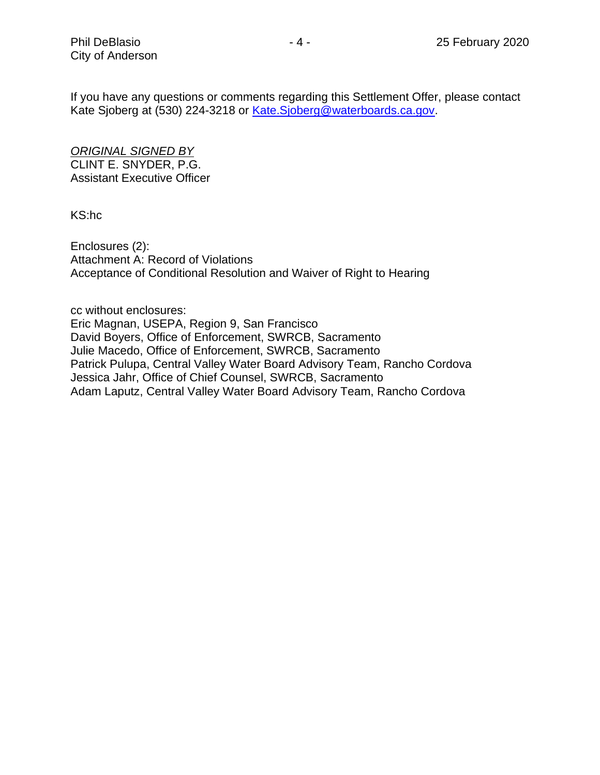If you have any questions or comments regarding this Settlement Offer, please contact Kate Sjoberg at (530) 224-3218 or [Kate.Sjoberg@waterboards.ca.gov.](mailto:Kate.Sjoberg@waterboards.ca.gov)

*ORIGINAL SIGNED BY* CLINT E. SNYDER, P.G. Assistant Executive Officer

KS:hc

Enclosures (2): Attachment A: Record of Violations Acceptance of Conditional Resolution and Waiver of Right to Hearing

cc without enclosures: Eric Magnan, USEPA, Region 9, San Francisco David Boyers, Office of Enforcement, SWRCB, Sacramento Julie Macedo, Office of Enforcement, SWRCB, Sacramento Patrick Pulupa, Central Valley Water Board Advisory Team, Rancho Cordova Jessica Jahr, Office of Chief Counsel, SWRCB, Sacramento Adam Laputz, Central Valley Water Board Advisory Team, Rancho Cordova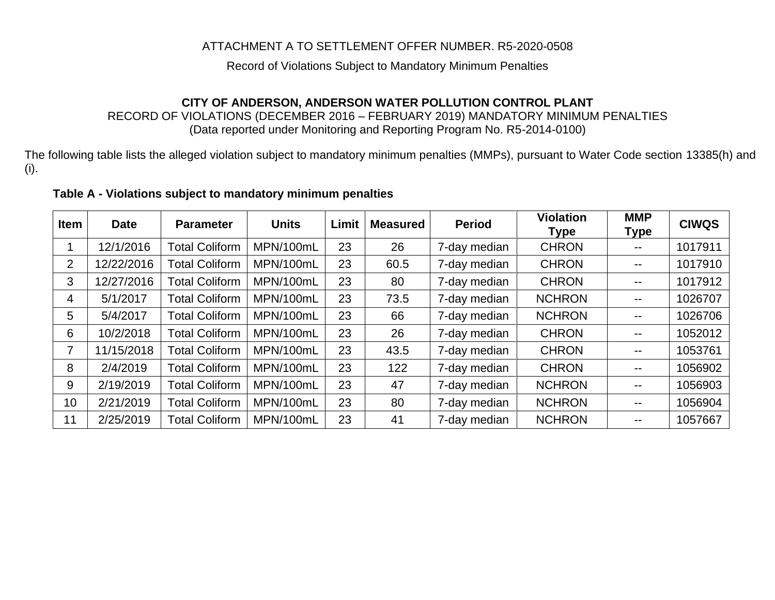## ATTACHMENT A TO SETTLEMENT OFFER NUMBER. R5-2020-0508

#### Record of Violations Subject to Mandatory Minimum Penalties

## **CITY OF ANDERSON, ANDERSON WATER POLLUTION CONTROL PLANT**

RECORD OF VIOLATIONS (DECEMBER 2016 – FEBRUARY 2019) MANDATORY MINIMUM PENALTIES (Data reported under Monitoring and Reporting Program No. R5-2014-0100)

The following table lists the alleged violation subject to mandatory minimum penalties (MMPs), pursuant to Water Code section 13385(h) and (i).

#### **Table A - Violations subject to mandatory minimum penalties**

| <b>Item</b>               | <b>Date</b> | <b>Parameter</b>      | <b>Units</b> | Limit | <b>Measured</b> | <b>Period</b> | <b>Violation</b><br><b>Type</b> | <b>MMP</b><br><b>Type</b> | <b>CIWQS</b> |
|---------------------------|-------------|-----------------------|--------------|-------|-----------------|---------------|---------------------------------|---------------------------|--------------|
|                           | 12/1/2016   | <b>Total Coliform</b> | MPN/100mL    | 23    | 26              | 7-day median  | <b>CHRON</b>                    | $- -$                     | 1017911      |
| $\mathbf{2}^{\mathsf{I}}$ | 12/22/2016  | <b>Total Coliform</b> | MPN/100mL    | 23    | 60.5            | 7-day median  | <b>CHRON</b>                    | $\overline{\phantom{m}}$  | 1017910      |
| 3                         | 12/27/2016  | <b>Total Coliform</b> | MPN/100mL    | 23    | 80              | 7-day median  | <b>CHRON</b>                    | $\overline{\phantom{m}}$  | 1017912      |
| 4                         | 5/1/2017    | <b>Total Coliform</b> | MPN/100mL    | 23    | 73.5            | 7-day median  | <b>NCHRON</b>                   | $\overline{\phantom{m}}$  | 1026707      |
| 5.                        | 5/4/2017    | <b>Total Coliform</b> | MPN/100mL    | 23    | 66              | 7-day median  | <b>NCHRON</b>                   | $\overline{\phantom{m}}$  | 1026706      |
| 6                         | 10/2/2018   | <b>Total Coliform</b> | MPN/100mL    | 23    | 26              | 7-day median  | <b>CHRON</b>                    | $\overline{\phantom{m}}$  | 1052012      |
|                           | 11/15/2018  | <b>Total Coliform</b> | MPN/100mL    | 23    | 43.5            | 7-day median  | <b>CHRON</b>                    | $\overline{\phantom{m}}$  | 1053761      |
| 8                         | 2/4/2019    | <b>Total Coliform</b> | MPN/100mL    | 23    | 122             | 7-day median  | <b>CHRON</b>                    | --                        | 1056902      |
| 9                         | 2/19/2019   | <b>Total Coliform</b> | MPN/100mL    | 23    | 47              | 7-day median  | <b>NCHRON</b>                   | $- -$                     | 1056903      |
| 10                        | 2/21/2019   | <b>Total Coliform</b> | MPN/100mL    | 23    | 80              | 7-day median  | <b>NCHRON</b>                   | $- -$                     | 1056904      |
| 11                        | 2/25/2019   | <b>Total Coliform</b> | MPN/100mL    | 23    | 41              | 7-day median  | <b>NCHRON</b>                   |                           | 1057667      |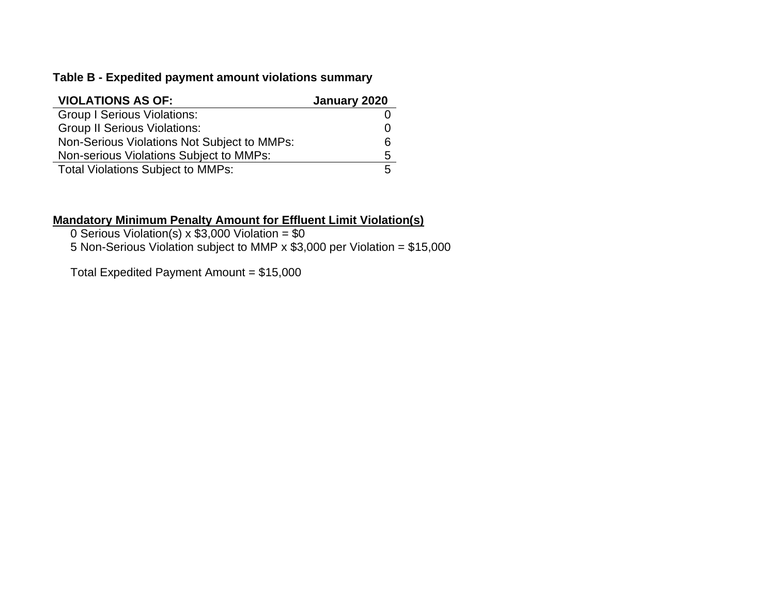## **Table B - Expedited payment amount violations summary**

| <b>VIOLATIONS AS OF:</b>                    | January 2020 |
|---------------------------------------------|--------------|
| <b>Group I Serious Violations:</b>          |              |
| <b>Group II Serious Violations:</b>         |              |
| Non-Serious Violations Not Subject to MMPs: | հ            |
| Non-serious Violations Subject to MMPs:     | Б.           |
| <b>Total Violations Subject to MMPs:</b>    |              |

#### **Mandatory Minimum Penalty Amount for Effluent Limit Violation(s)**

0 Serious Violation(s)  $x$  \$3,000 Violation = \$0 5 Non-Serious Violation subject to MMP x \$3,000 per Violation = \$15,000

Total Expedited Payment Amount = \$15,000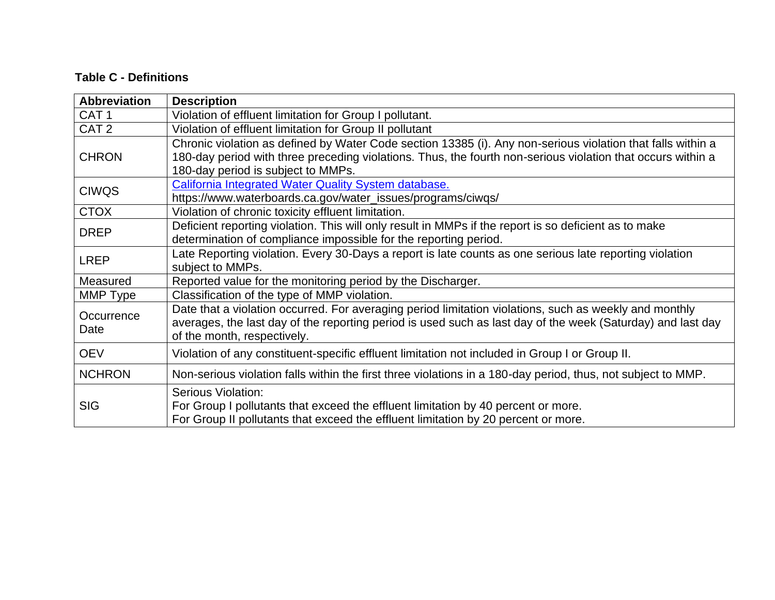## **Table C - Definitions**

| <b>Abbreviation</b> | <b>Description</b>                                                                                                                                                                                                                                               |
|---------------------|------------------------------------------------------------------------------------------------------------------------------------------------------------------------------------------------------------------------------------------------------------------|
| CAT <sub>1</sub>    | Violation of effluent limitation for Group I pollutant.                                                                                                                                                                                                          |
| CAT <sub>2</sub>    | Violation of effluent limitation for Group II pollutant                                                                                                                                                                                                          |
| <b>CHRON</b>        | Chronic violation as defined by Water Code section 13385 (i). Any non-serious violation that falls within a<br>180-day period with three preceding violations. Thus, the fourth non-serious violation that occurs within a<br>180-day period is subject to MMPs. |
| <b>CIWQS</b>        | California Integrated Water Quality System database.<br>https://www.waterboards.ca.gov/water_issues/programs/ciwqs/                                                                                                                                              |
| <b>CTOX</b>         | Violation of chronic toxicity effluent limitation.                                                                                                                                                                                                               |
| <b>DREP</b>         | Deficient reporting violation. This will only result in MMPs if the report is so deficient as to make<br>determination of compliance impossible for the reporting period.                                                                                        |
| <b>LREP</b>         | Late Reporting violation. Every 30-Days a report is late counts as one serious late reporting violation<br>subject to MMPs.                                                                                                                                      |
| Measured            | Reported value for the monitoring period by the Discharger.                                                                                                                                                                                                      |
| MMP Type            | Classification of the type of MMP violation.                                                                                                                                                                                                                     |
| Occurrence<br>Date  | Date that a violation occurred. For averaging period limitation violations, such as weekly and monthly<br>averages, the last day of the reporting period is used such as last day of the week (Saturday) and last day<br>of the month, respectively.             |
| <b>OEV</b>          | Violation of any constituent-specific effluent limitation not included in Group I or Group II.                                                                                                                                                                   |
| <b>NCHRON</b>       | Non-serious violation falls within the first three violations in a 180-day period, thus, not subject to MMP.                                                                                                                                                     |
| <b>SIG</b>          | <b>Serious Violation:</b><br>For Group I pollutants that exceed the effluent limitation by 40 percent or more.<br>For Group II pollutants that exceed the effluent limitation by 20 percent or more.                                                             |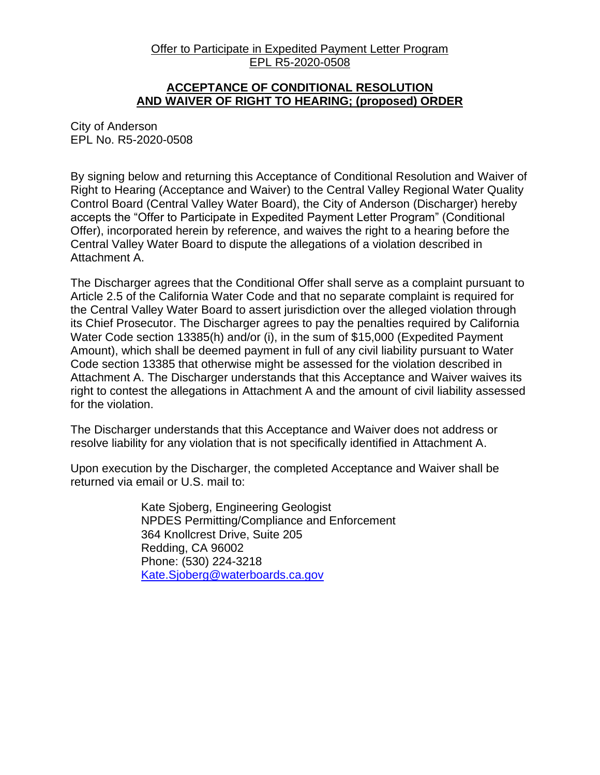#### Offer to Participate in Expedited Payment Letter Program EPL R5-2020-0508

#### **ACCEPTANCE OF CONDITIONAL RESOLUTION AND WAIVER OF RIGHT TO HEARING; (proposed) ORDER**

City of Anderson EPL No. R5-2020-0508

By signing below and returning this Acceptance of Conditional Resolution and Waiver of Right to Hearing (Acceptance and Waiver) to the Central Valley Regional Water Quality Control Board (Central Valley Water Board), the City of Anderson (Discharger) hereby accepts the "Offer to Participate in Expedited Payment Letter Program" (Conditional Offer), incorporated herein by reference, and waives the right to a hearing before the Central Valley Water Board to dispute the allegations of a violation described in Attachment A.

The Discharger agrees that the Conditional Offer shall serve as a complaint pursuant to Article 2.5 of the California Water Code and that no separate complaint is required for the Central Valley Water Board to assert jurisdiction over the alleged violation through its Chief Prosecutor. The Discharger agrees to pay the penalties required by California Water Code section 13385(h) and/or (i), in the sum of \$15,000 (Expedited Payment Amount), which shall be deemed payment in full of any civil liability pursuant to Water Code section 13385 that otherwise might be assessed for the violation described in Attachment A. The Discharger understands that this Acceptance and Waiver waives its right to contest the allegations in Attachment A and the amount of civil liability assessed for the violation.

The Discharger understands that this Acceptance and Waiver does not address or resolve liability for any violation that is not specifically identified in Attachment A.

Upon execution by the Discharger, the completed Acceptance and Waiver shall be returned via email or U.S. mail to:

> Kate Sjoberg, Engineering Geologist NPDES Permitting/Compliance and Enforcement 364 Knollcrest Drive, Suite 205 Redding, CA 96002 Phone: (530) 224-3218 [Kate.Sjoberg@waterboards.ca.gov](mailto:michael.collins@waterboards.ca.gov)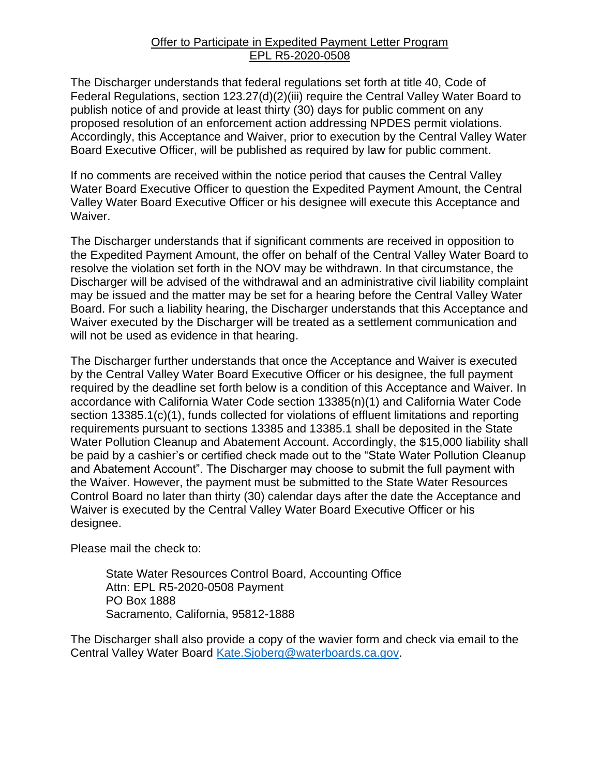#### Offer to Participate in Expedited Payment Letter Program EPL R5-2020-0508

The Discharger understands that federal regulations set forth at title 40, Code of Federal Regulations, section 123.27(d)(2)(iii) require the Central Valley Water Board to publish notice of and provide at least thirty (30) days for public comment on any proposed resolution of an enforcement action addressing NPDES permit violations. Accordingly, this Acceptance and Waiver, prior to execution by the Central Valley Water Board Executive Officer, will be published as required by law for public comment.

If no comments are received within the notice period that causes the Central Valley Water Board Executive Officer to question the Expedited Payment Amount, the Central Valley Water Board Executive Officer or his designee will execute this Acceptance and Waiver.

The Discharger understands that if significant comments are received in opposition to the Expedited Payment Amount, the offer on behalf of the Central Valley Water Board to resolve the violation set forth in the NOV may be withdrawn. In that circumstance, the Discharger will be advised of the withdrawal and an administrative civil liability complaint may be issued and the matter may be set for a hearing before the Central Valley Water Board. For such a liability hearing, the Discharger understands that this Acceptance and Waiver executed by the Discharger will be treated as a settlement communication and will not be used as evidence in that hearing.

The Discharger further understands that once the Acceptance and Waiver is executed by the Central Valley Water Board Executive Officer or his designee, the full payment required by the deadline set forth below is a condition of this Acceptance and Waiver. In accordance with California Water Code section 13385(n)(1) and California Water Code section 13385.1(c)(1), funds collected for violations of effluent limitations and reporting requirements pursuant to sections 13385 and 13385.1 shall be deposited in the State Water Pollution Cleanup and Abatement Account. Accordingly, the \$15,000 liability shall be paid by a cashier's or certified check made out to the "State Water Pollution Cleanup and Abatement Account". The Discharger may choose to submit the full payment with the Waiver. However, the payment must be submitted to the State Water Resources Control Board no later than thirty (30) calendar days after the date the Acceptance and Waiver is executed by the Central Valley Water Board Executive Officer or his designee.

Please mail the check to:

State Water Resources Control Board, Accounting Office Attn: EPL R5-2020-0508 Payment PO Box 1888 Sacramento, California, 95812-1888

The Discharger shall also provide a copy of the wavier form and check via email to the Central Valley Water Board [Kate.Sjoberg@waterboards.ca.gov.](mailto:Kate.Sjoberg@waterboards.ca.gov)